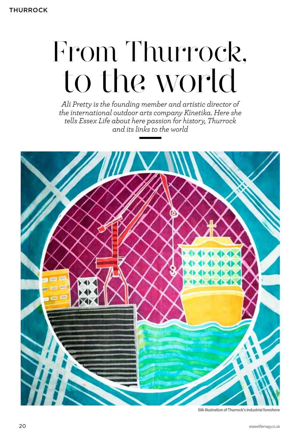## From Thurrock, to the world

*Ali Pretty is the founding member and artistic director of the international outdoor arts company Kinetika. Here she tells Essex Life about here passion for history, Thurrock and its links to the world*



Silk illustration of Thurrock's industrial foreshore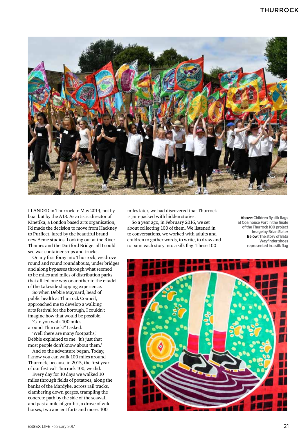

I LANDED in Thurrock in May 2014, not by boat but by the A13. As artistic director of Kinetika, a London based arts organisation, I'd made the decision to move from Hackney to Purfleet, lured by the beautiful brand new Acme studios. Looking out at the River Thames and the Dartford Bridge, all I could see was container ships and trucks.

On my first foray into Thurrock, we drove round and round roundabouts, under bridges and along bypasses through what seemed to be miles and miles of distribution parks that all led one way or another to the citadel of the Lakeside shopping experience.

So when Debbie Maynard, head of public health at Thurrock Council, approached me to develop a walking arts festival for the borough, I couldn't imagine how that would be possible.

'Can you walk 100 miles around Thurrock?' I asked.

'Well there are many footpaths,' Debbie explained to me. 'It's just that most people don't know about them.'

And so the adventure began. Today, I know you can walk 100 miles around Thurrock, because in 2015, the first year of our festival Thurrock 100, we did.

Every day for 10 days we walked 10 miles through fields of potatoes, along the banks of the Mardyke, across rail tracks, clambering down gorges, trampling the concrete path by the side of the seawall and past a mile of graffiti, a drove of wild horses, two ancient forts and more. 100

miles later, we had discovered that Thurrock is jam-packed with hidden stories.

So a year ago, in February 2016, we set about collecting 100 of them. We listened in to conversations, we worked with adults and children to gather words, to write, to draw and to paint each story into a silk flag. These 100

Above: Children fly silk flags at Coalhouse Fort in the finale of the Thurrock 100 project Image by Brian Slater Below: The story of Bata Wayfinder shoes represented in a silk flag

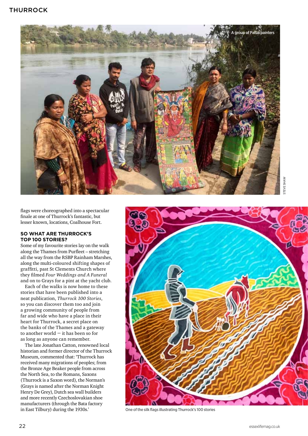

flags were choreographed into a spectacular finale at one of Thurrock's fantastic, but lesser known, locations, Coalhouse Fort.

## **So what are Thurrock's top 100 stories?**

Some of my favourite stories lay on the walk along the Thames from Purfleet – stretching all the way from the RSBP Rainham Marshes, along the multi-coloured shifting shapes of graffitti, past St Clements Church where they filmed *Four Weddings and A Funeral*  and on to Grays for a pint at the yacht club.

Each of the walks is now home to these stories that have been published into a neat publication, *Thurrock 100 Stories*, so you can discover them too and join a growing community of people from far and wide who have a place in their heart for Thurrock, a secret place on the banks of the Thames and a gateway to another world  $-$  it has been so for as long as anyone can remember.

The late Jonathan Catton, renowned local historian and former director of the Thurrock Museum, commented that: 'Thurrock has received many migrations of peoples; from the Bronze Age Beaker people from across the North Sea, to the Romans, Saxons (Thurrock is a Saxon word), the Norman's (Grays is named after the Norman Knight Henry De Grey), Dutch sea wall builders and more recently Czechoslovakian shoe manufacturers (through the Bata factory in East Tilbury) during the 1930s.' One of the silk flags illustrating Thurrock's 100 stories